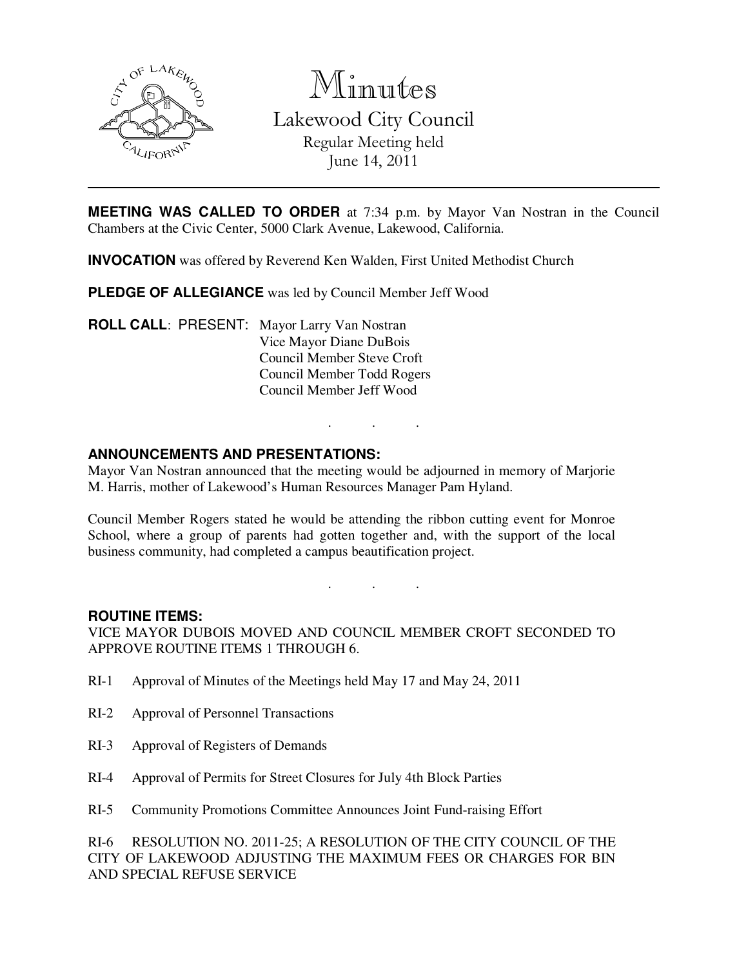

Minutes Lakewood City Council Regular Meeting held

June 14, 2011

**MEETING WAS CALLED TO ORDER** at 7:34 p.m. by Mayor Van Nostran in the Council Chambers at the Civic Center, 5000 Clark Avenue, Lakewood, California.

**INVOCATION** was offered by Reverend Ken Walden, First United Methodist Church

**PLEDGE OF ALLEGIANCE** was led by Council Member Jeff Wood

**ROLL CALL**: PRESENT: Mayor Larry Van Nostran Vice Mayor Diane DuBois Council Member Steve Croft Council Member Todd Rogers Council Member Jeff Wood

#### **ANNOUNCEMENTS AND PRESENTATIONS:**

Mayor Van Nostran announced that the meeting would be adjourned in memory of Marjorie M. Harris, mother of Lakewood's Human Resources Manager Pam Hyland.

. . .

Council Member Rogers stated he would be attending the ribbon cutting event for Monroe School, where a group of parents had gotten together and, with the support of the local business community, had completed a campus beautification project.

# . . .

#### **ROUTINE ITEMS:**

VICE MAYOR DUBOIS MOVED AND COUNCIL MEMBER CROFT SECONDED TO APPROVE ROUTINE ITEMS 1 THROUGH 6.

- RI-1 Approval of Minutes of the Meetings held May 17 and May 24, 2011
- RI-2 Approval of Personnel Transactions
- RI-3 Approval of Registers of Demands
- RI-4 Approval of Permits for Street Closures for July 4th Block Parties
- RI-5 Community Promotions Committee Announces Joint Fund-raising Effort

RI-6 RESOLUTION NO. 2011-25; A RESOLUTION OF THE CITY COUNCIL OF THE CITY OF LAKEWOOD ADJUSTING THE MAXIMUM FEES OR CHARGES FOR BIN AND SPECIAL REFUSE SERVICE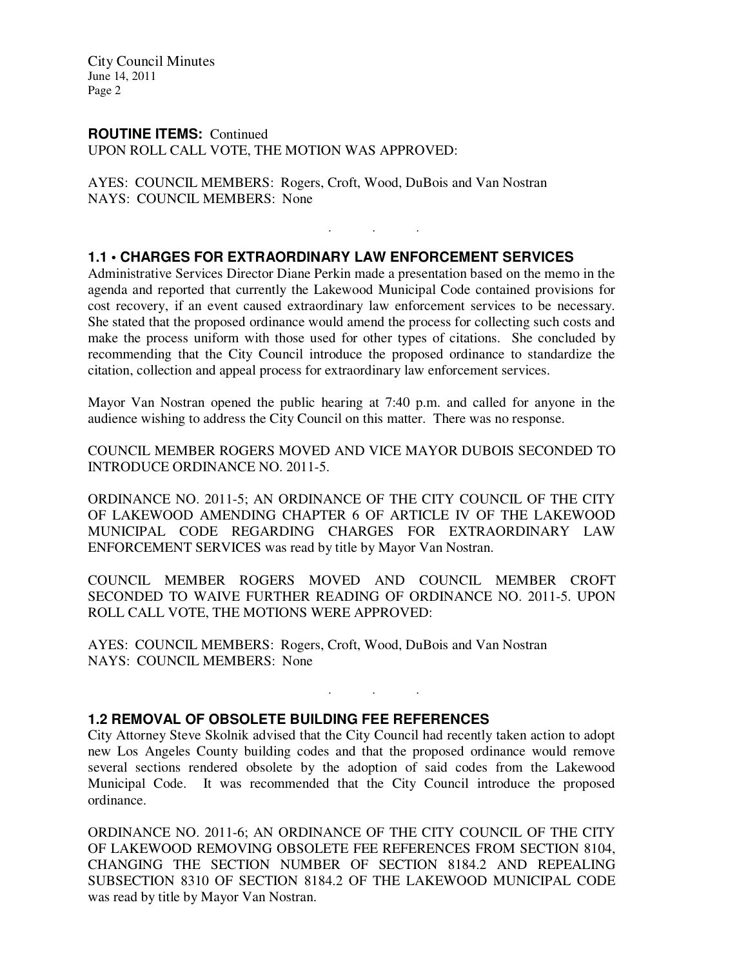#### **ROUTINE ITEMS:** Continued

UPON ROLL CALL VOTE, THE MOTION WAS APPROVED:

AYES: COUNCIL MEMBERS: Rogers, Croft, Wood, DuBois and Van Nostran NAYS: COUNCIL MEMBERS: None

#### **1.1 • CHARGES FOR EXTRAORDINARY LAW ENFORCEMENT SERVICES**

Administrative Services Director Diane Perkin made a presentation based on the memo in the agenda and reported that currently the Lakewood Municipal Code contained provisions for cost recovery, if an event caused extraordinary law enforcement services to be necessary. She stated that the proposed ordinance would amend the process for collecting such costs and make the process uniform with those used for other types of citations. She concluded by recommending that the City Council introduce the proposed ordinance to standardize the citation, collection and appeal process for extraordinary law enforcement services.

. . .

Mayor Van Nostran opened the public hearing at 7:40 p.m. and called for anyone in the audience wishing to address the City Council on this matter. There was no response.

COUNCIL MEMBER ROGERS MOVED AND VICE MAYOR DUBOIS SECONDED TO INTRODUCE ORDINANCE NO. 2011-5.

ORDINANCE NO. 2011-5; AN ORDINANCE OF THE CITY COUNCIL OF THE CITY OF LAKEWOOD AMENDING CHAPTER 6 OF ARTICLE IV OF THE LAKEWOOD MUNICIPAL CODE REGARDING CHARGES FOR EXTRAORDINARY LAW ENFORCEMENT SERVICES was read by title by Mayor Van Nostran.

COUNCIL MEMBER ROGERS MOVED AND COUNCIL MEMBER CROFT SECONDED TO WAIVE FURTHER READING OF ORDINANCE NO. 2011-5. UPON ROLL CALL VOTE, THE MOTIONS WERE APPROVED:

AYES: COUNCIL MEMBERS: Rogers, Croft, Wood, DuBois and Van Nostran NAYS: COUNCIL MEMBERS: None

#### **1.2 REMOVAL OF OBSOLETE BUILDING FEE REFERENCES**

City Attorney Steve Skolnik advised that the City Council had recently taken action to adopt new Los Angeles County building codes and that the proposed ordinance would remove several sections rendered obsolete by the adoption of said codes from the Lakewood Municipal Code. It was recommended that the City Council introduce the proposed ordinance.

. . .

ORDINANCE NO. 2011-6; AN ORDINANCE OF THE CITY COUNCIL OF THE CITY OF LAKEWOOD REMOVING OBSOLETE FEE REFERENCES FROM SECTION 8104, CHANGING THE SECTION NUMBER OF SECTION 8184.2 AND REPEALING SUBSECTION 8310 OF SECTION 8184.2 OF THE LAKEWOOD MUNICIPAL CODE was read by title by Mayor Van Nostran.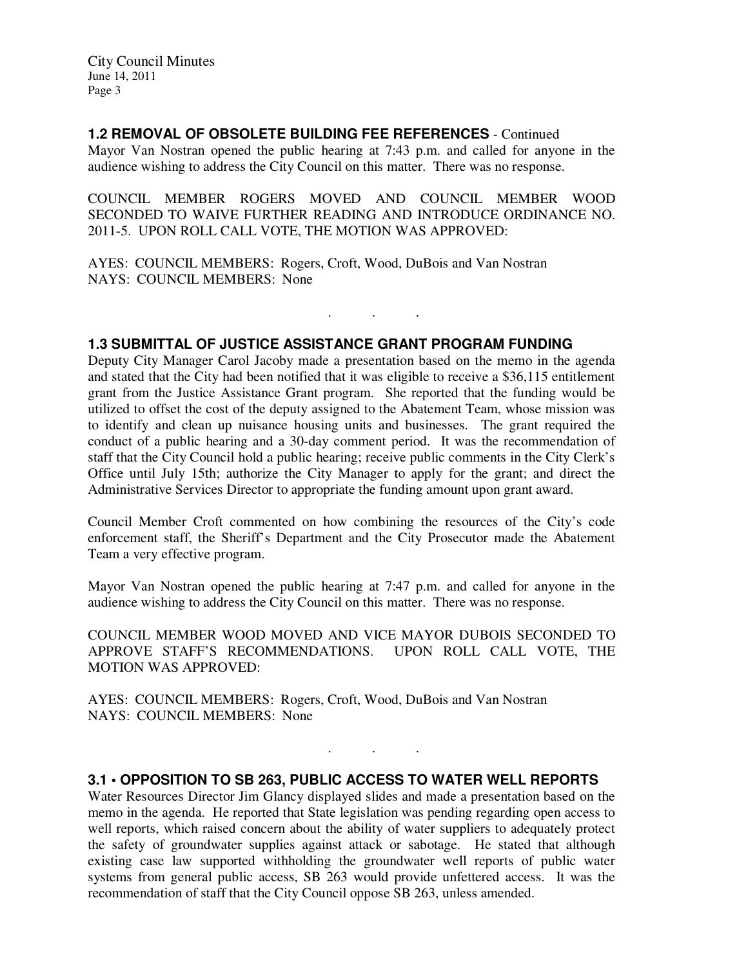#### **1.2 REMOVAL OF OBSOLETE BUILDING FEE REFERENCES** - Continued

Mayor Van Nostran opened the public hearing at 7:43 p.m. and called for anyone in the audience wishing to address the City Council on this matter. There was no response.

COUNCIL MEMBER ROGERS MOVED AND COUNCIL MEMBER WOOD SECONDED TO WAIVE FURTHER READING AND INTRODUCE ORDINANCE NO. 2011-5. UPON ROLL CALL VOTE, THE MOTION WAS APPROVED:

. . .

AYES: COUNCIL MEMBERS: Rogers, Croft, Wood, DuBois and Van Nostran NAYS: COUNCIL MEMBERS: None

#### **1.3 SUBMITTAL OF JUSTICE ASSISTANCE GRANT PROGRAM FUNDING**

Deputy City Manager Carol Jacoby made a presentation based on the memo in the agenda and stated that the City had been notified that it was eligible to receive a \$36,115 entitlement grant from the Justice Assistance Grant program. She reported that the funding would be utilized to offset the cost of the deputy assigned to the Abatement Team, whose mission was to identify and clean up nuisance housing units and businesses. The grant required the conduct of a public hearing and a 30-day comment period. It was the recommendation of staff that the City Council hold a public hearing; receive public comments in the City Clerk's Office until July 15th; authorize the City Manager to apply for the grant; and direct the Administrative Services Director to appropriate the funding amount upon grant award.

Council Member Croft commented on how combining the resources of the City's code enforcement staff, the Sheriff's Department and the City Prosecutor made the Abatement Team a very effective program.

Mayor Van Nostran opened the public hearing at 7:47 p.m. and called for anyone in the audience wishing to address the City Council on this matter. There was no response.

COUNCIL MEMBER WOOD MOVED AND VICE MAYOR DUBOIS SECONDED TO APPROVE STAFF'S RECOMMENDATIONS. UPON ROLL CALL VOTE, THE MOTION WAS APPROVED:

AYES: COUNCIL MEMBERS: Rogers, Croft, Wood, DuBois and Van Nostran NAYS: COUNCIL MEMBERS: None

## **3.1 • OPPOSITION TO SB 263, PUBLIC ACCESS TO WATER WELL REPORTS**

. . .

Water Resources Director Jim Glancy displayed slides and made a presentation based on the memo in the agenda. He reported that State legislation was pending regarding open access to well reports, which raised concern about the ability of water suppliers to adequately protect the safety of groundwater supplies against attack or sabotage. He stated that although existing case law supported withholding the groundwater well reports of public water systems from general public access, SB 263 would provide unfettered access. It was the recommendation of staff that the City Council oppose SB 263, unless amended.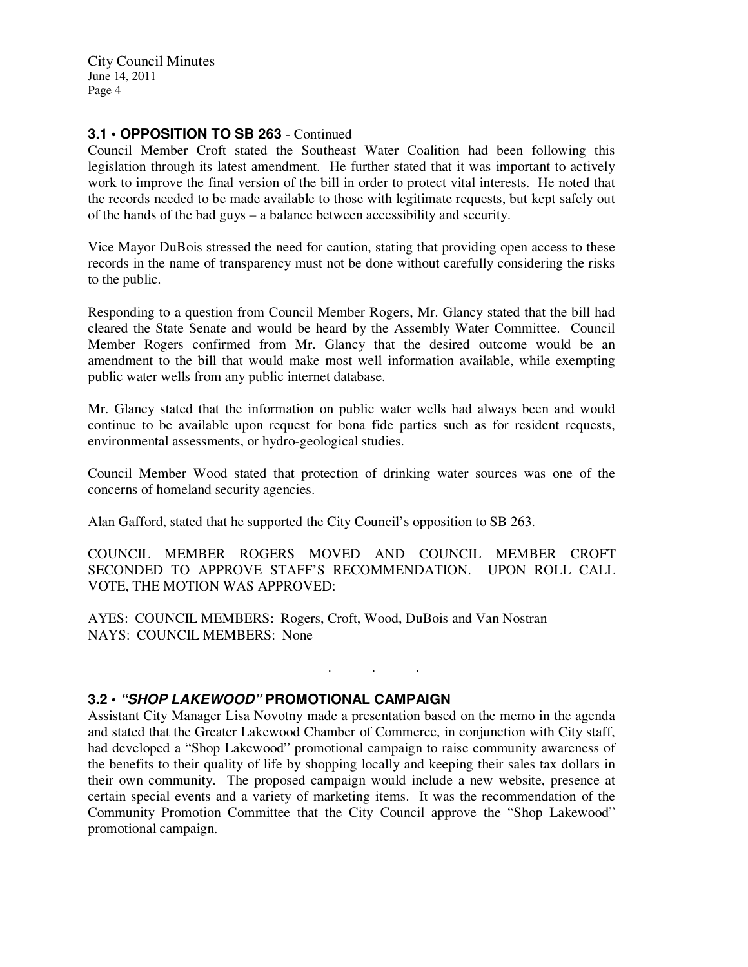### **3.1 • OPPOSITION TO SB 263** - Continued

Council Member Croft stated the Southeast Water Coalition had been following this legislation through its latest amendment. He further stated that it was important to actively work to improve the final version of the bill in order to protect vital interests. He noted that the records needed to be made available to those with legitimate requests, but kept safely out of the hands of the bad guys – a balance between accessibility and security.

Vice Mayor DuBois stressed the need for caution, stating that providing open access to these records in the name of transparency must not be done without carefully considering the risks to the public.

Responding to a question from Council Member Rogers, Mr. Glancy stated that the bill had cleared the State Senate and would be heard by the Assembly Water Committee. Council Member Rogers confirmed from Mr. Glancy that the desired outcome would be an amendment to the bill that would make most well information available, while exempting public water wells from any public internet database.

Mr. Glancy stated that the information on public water wells had always been and would continue to be available upon request for bona fide parties such as for resident requests, environmental assessments, or hydro-geological studies.

Council Member Wood stated that protection of drinking water sources was one of the concerns of homeland security agencies.

Alan Gafford, stated that he supported the City Council's opposition to SB 263.

COUNCIL MEMBER ROGERS MOVED AND COUNCIL MEMBER CROFT SECONDED TO APPROVE STAFF'S RECOMMENDATION. UPON ROLL CALL VOTE, THE MOTION WAS APPROVED:

. . .

AYES: COUNCIL MEMBERS: Rogers, Croft, Wood, DuBois and Van Nostran NAYS: COUNCIL MEMBERS: None

#### **3.2 • "SHOP LAKEWOOD" PROMOTIONAL CAMPAIGN**

Assistant City Manager Lisa Novotny made a presentation based on the memo in the agenda and stated that the Greater Lakewood Chamber of Commerce, in conjunction with City staff, had developed a "Shop Lakewood" promotional campaign to raise community awareness of the benefits to their quality of life by shopping locally and keeping their sales tax dollars in their own community. The proposed campaign would include a new website, presence at certain special events and a variety of marketing items. It was the recommendation of the Community Promotion Committee that the City Council approve the "Shop Lakewood" promotional campaign.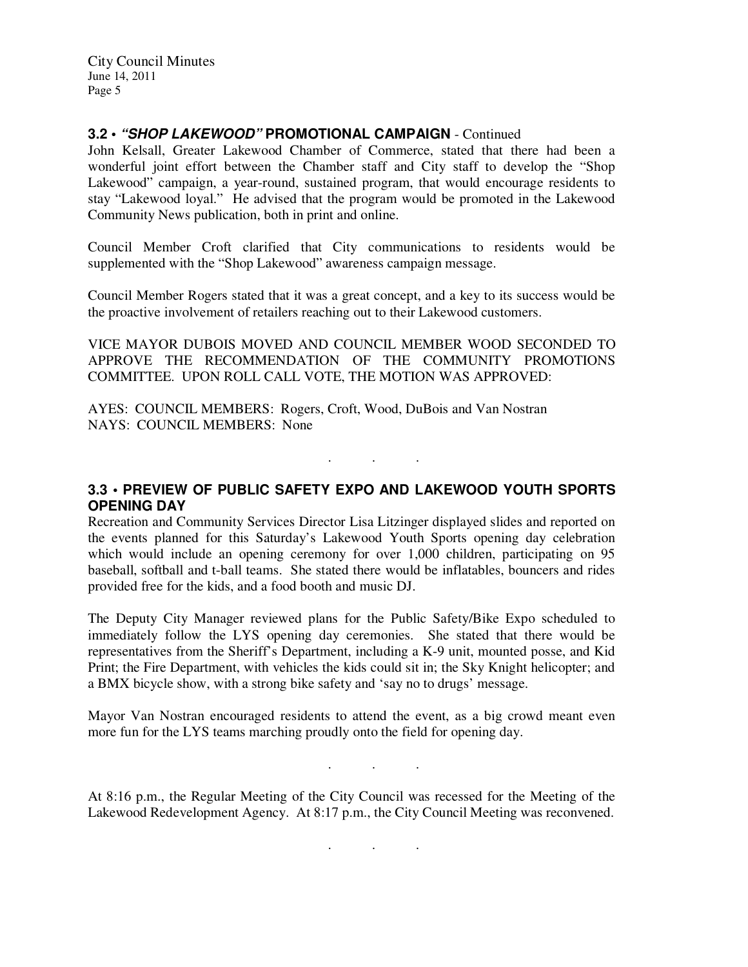#### **3.2 • "SHOP LAKEWOOD" PROMOTIONAL CAMPAIGN** - Continued

John Kelsall, Greater Lakewood Chamber of Commerce, stated that there had been a wonderful joint effort between the Chamber staff and City staff to develop the "Shop Lakewood" campaign, a year-round, sustained program, that would encourage residents to stay "Lakewood loyal." He advised that the program would be promoted in the Lakewood Community News publication, both in print and online.

Council Member Croft clarified that City communications to residents would be supplemented with the "Shop Lakewood" awareness campaign message.

Council Member Rogers stated that it was a great concept, and a key to its success would be the proactive involvement of retailers reaching out to their Lakewood customers.

VICE MAYOR DUBOIS MOVED AND COUNCIL MEMBER WOOD SECONDED TO APPROVE THE RECOMMENDATION OF THE COMMUNITY PROMOTIONS COMMITTEE. UPON ROLL CALL VOTE, THE MOTION WAS APPROVED:

AYES: COUNCIL MEMBERS: Rogers, Croft, Wood, DuBois and Van Nostran NAYS: COUNCIL MEMBERS: None

**3.3 • PREVIEW OF PUBLIC SAFETY EXPO AND LAKEWOOD YOUTH SPORTS OPENING DAY** 

. . .

Recreation and Community Services Director Lisa Litzinger displayed slides and reported on the events planned for this Saturday's Lakewood Youth Sports opening day celebration which would include an opening ceremony for over 1,000 children, participating on 95 baseball, softball and t-ball teams. She stated there would be inflatables, bouncers and rides provided free for the kids, and a food booth and music DJ.

The Deputy City Manager reviewed plans for the Public Safety/Bike Expo scheduled to immediately follow the LYS opening day ceremonies. She stated that there would be representatives from the Sheriff's Department, including a K-9 unit, mounted posse, and Kid Print; the Fire Department, with vehicles the kids could sit in; the Sky Knight helicopter; and a BMX bicycle show, with a strong bike safety and 'say no to drugs' message.

Mayor Van Nostran encouraged residents to attend the event, as a big crowd meant even more fun for the LYS teams marching proudly onto the field for opening day.

At 8:16 p.m., the Regular Meeting of the City Council was recessed for the Meeting of the Lakewood Redevelopment Agency. At 8:17 p.m., the City Council Meeting was reconvened.

. . .

. . .